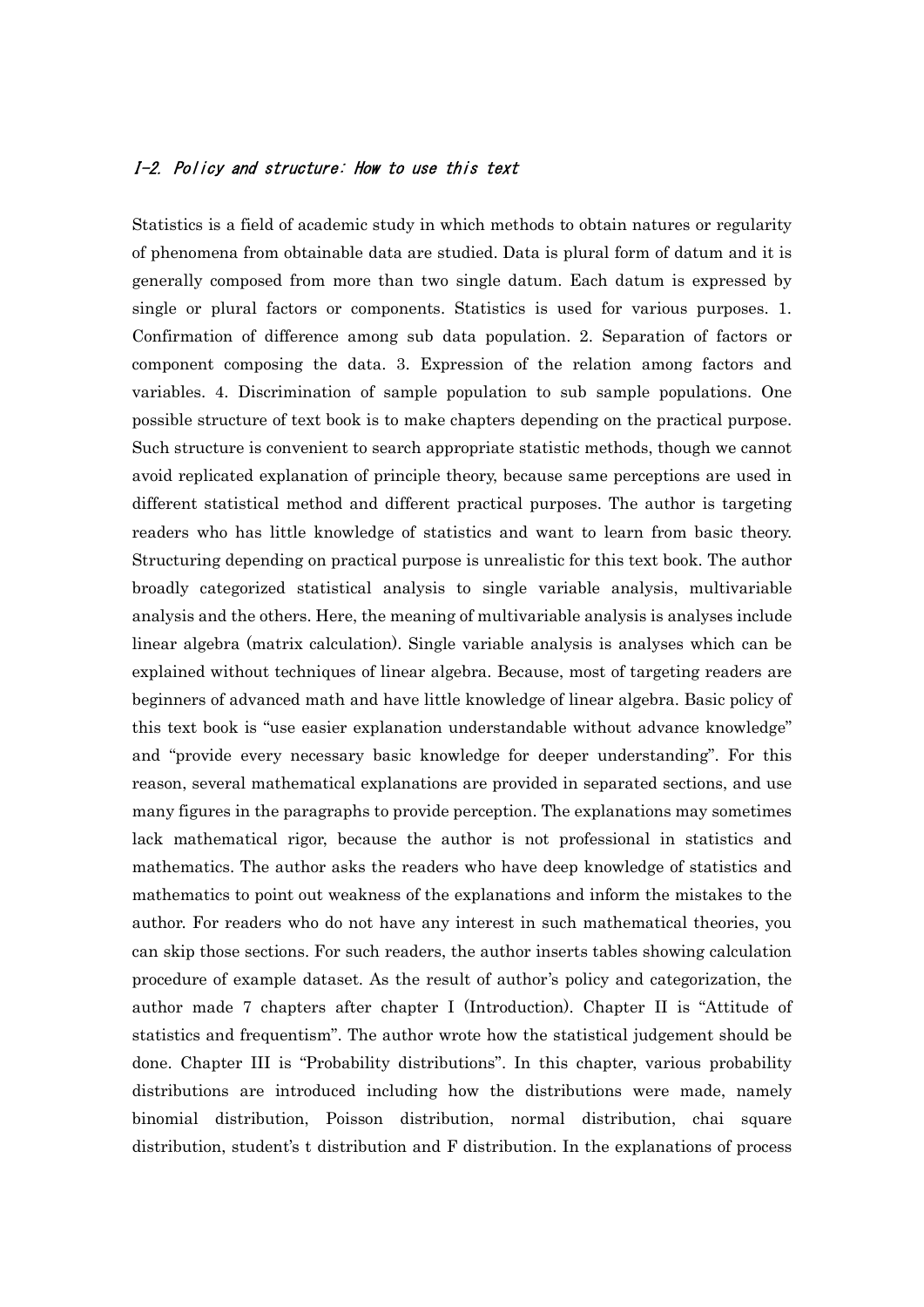## I-2. Policy and structure: How to use this text

Statistics is a field of academic study in which methods to obtain natures or regularity of phenomena from obtainable data are studied. Data is plural form of datum and it is generally composed from more than two single datum. Each datum is expressed by single or plural factors or components. Statistics is used for various purposes. 1. Confirmation of difference among sub data population. 2. Separation of factors or component composing the data. 3. Expression of the relation among factors and variables. 4. Discrimination of sample population to sub sample populations. One possible structure of text book is to make chapters depending on the practical purpose. Such structure is convenient to search appropriate statistic methods, though we cannot avoid replicated explanation of principle theory, because same perceptions are used in different statistical method and different practical purposes. The author is targeting readers who has little knowledge of statistics and want to learn from basic theory. Structuring depending on practical purpose is unrealistic for this text book. The author broadly categorized statistical analysis to single variable analysis, multivariable analysis and the others. Here, the meaning of multivariable analysis is analyses include linear algebra (matrix calculation). Single variable analysis is analyses which can be explained without techniques of linear algebra. Because, most of targeting readers are beginners of advanced math and have little knowledge of linear algebra. Basic policy of this text book is "use easier explanation understandable without advance knowledge" and "provide every necessary basic knowledge for deeper understanding". For this reason, several mathematical explanations are provided in separated sections, and use many figures in the paragraphs to provide perception. The explanations may sometimes lack mathematical rigor, because the author is not professional in statistics and mathematics. The author asks the readers who have deep knowledge of statistics and mathematics to point out weakness of the explanations and inform the mistakes to the author. For readers who do not have any interest in such mathematical theories, you can skip those sections. For such readers, the author inserts tables showing calculation procedure of example dataset. As the result of author's policy and categorization, the author made 7 chapters after chapter I (Introduction). Chapter II is "Attitude of statistics and frequentism". The author wrote how the statistical judgement should be done. Chapter III is "Probability distributions". In this chapter, various probability distributions are introduced including how the distributions were made, namely binomial distribution, Poisson distribution, normal distribution, chai square distribution, student's t distribution and F distribution. In the explanations of process